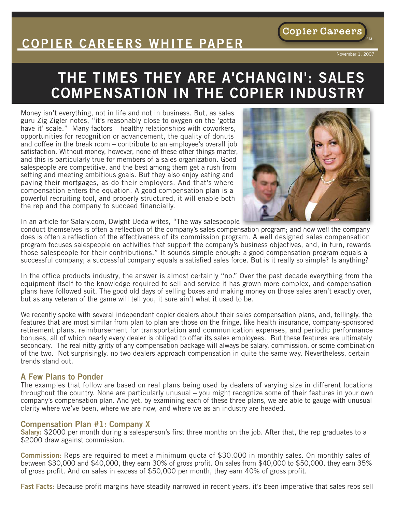# **COPIER CAREERS WHITE PAPER**

November 1, 2007

**Copier Careers** 

SM

# **THE TIMES THEY ARE A'CHANGIN' : SALES COMPENSATION IN THE COPIER INDUSTRY**

Money isn't everything, not in life and not in business. But, as sales guru Zig Zigler notes, "it's reasonably close to oxygen on the 'gotta have it' scale." Many factors – healthy relationships with coworkers, opportunities for recognition or advancement, the quality of donuts and coffee in the break room – contribute to an employee's overall job satisfaction. Without money, however, none of these other things matter, and this is particularly true for members of a sales organization. Good salespeople are competitive, and the best among them get a rush from setting and meeting ambitious goals. But they also enjoy eating and paying their mortgages, as do their employers. And that's where compensation enters the equation. A good compensation plan is a powerful recruiting tool, and properly structured, it will enable both the rep and the company to succeed financially.



In an article for Salary.com, Dwight Ueda writes, "The way salespeople

conduct themselves is often a reflection of the company's sales compensation program; and how well the company does is often a reflection of the effectiveness of its commission program. A well designed sales compensation program focuses salespeople on activities that support the company's business objectives, and, in turn, rewards those salespeople for their contributions." It sounds simple enough: a good compensation program equals a successful company; a successful company equals a satisfied sales force. But is it really so simple? Is anything?

In the office products industry, the answer is almost certainly "no." Over the past decade everything from the equipment itself to the knowledge required to sell and service it has grown more complex, and compensation plans have followed suit. The good old days of selling boxes and making money on those sales aren't exactly over, but as any veteran of the game will tell you, it sure ain't what it used to be.

We recently spoke with several independent copier dealers about their sales compensation plans, and, tellingly, the features that are most similar from plan to plan are those on the fringe, like health insurance, company-sponsored retirement plans, reimbursement for transportation and communication expenses, and periodic performance bonuses, all of which nearly every dealer is obliged to offer its sales employees. But these features are ultimately secondary. The real nitty-gritty of any compensation package will always be salary, commission, or some combination of the two. Not surprisingly, no two dealers approach compensation in quite the same way. Nevertheless, certain trends stand out.

#### **A Few Plans to Ponder**

The examples that follow are based on real plans being used by dealers of varying size in different locations throughout the country. None are particularly unusual – you might recognize some of their features in your own company's compensation plan. And yet, by examining each of these three plans, we are able to gauge with unusual clarity where we've been, where we are now, and where we as an industry are headed.

### **Compensation Plan #1: Company X**

**Salary:** \$2000 per month during a salesperson's first three months on the job. After that, the rep graduates to a \$2000 draw against commission.

**Commission:** Reps are required to meet a minimum quota of \$30,000 in monthly sales. On monthly sales of between \$30,000 and \$40,000, they earn 30% of gross profit. On sales from \$40,000 to \$50,000, they earn 35% of gross profit. And on sales in excess of \$50,000 per month, they earn 40% of gross profit.

**Fast Facts:** Because profit margins have steadily narrowed in recent years, it's been imperative that sales reps sell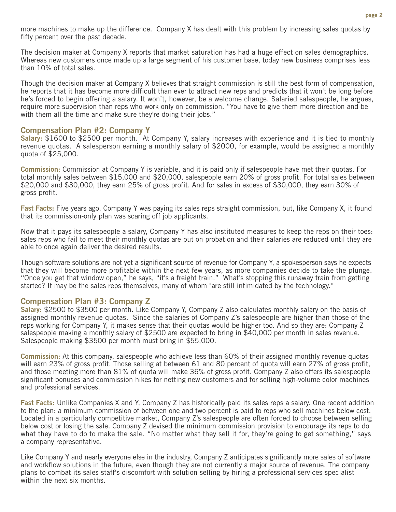more machines to make up the difference. Company X has dealt with this problem by increasing sales quotas by fifty percent over the past decade.

The decision maker at Company X reports that market saturation has had a huge effect on sales demographics. Whereas new customers once made up a large segment of his customer base, today new business comprises less than 10% of total sales.

Though the decision maker at Company X believes that straight commission is still the best form of compensation, he reports that it has become more difficult than ever to attract new reps and predicts that it won't be long before he's forced to begin offering a salary. It won't, however, be a welcome change. Salaried salespeople, he argues, require more supervision than reps who work only on commission. "You have to give them more direction and be with them all the time and make sure they're doing their jobs."

### **Compensation Plan #2: Company Y**

**Salary:** \$1600 to \$2500 per month. At Company Y, salary increases with experience and it is tied to monthly revenue quotas. A salesperson earning a monthly salary of \$2000, for example, would be assigned a monthly quota of \$25,000.

**Commission:** Commission at Company Y is variable, and it is paid only if salespeople have met their quotas. For total monthly sales between \$15,000 and \$20,000, salespeople earn 20% of gross profit. For total sales between \$20,000 and \$30,000, they earn 25% of gross profit. And for sales in excess of \$30,000, they earn 30% of gross profit.

**Fast Facts:** Five years ago, Company Y was paying its sales reps straight commission, but, like Company X, it found that its commission-only plan was scaring off job applicants.

Now that it pays its salespeople a salary, Company Y has also instituted measures to keep the reps on their toes: sales reps who fail to meet their monthly quotas are put on probation and their salaries are reduced until they are able to once again deliver the desired results.

Though software solutions are not yet a significant source of revenue for Company Y, a spokesperson says he expects that they will become more profitable within the next few years, as more companies decide to take the plunge. "Once you get that window open," he says, "it's a freight train." What's stopping this runaway train from getting started? It may be the sales reps themselves, many of whom "are still intimidated by the technology."

## **Compensation Plan #3: Company Z**

**Salary:** \$2500 to \$3500 per month. Like Company Y, Company Z also calculates monthly salary on the basis of assigned monthly revenue quotas. Since the salaries of Company Z's salespeople are higher than those of the reps working for Company Y, it makes sense that their quotas would be higher too. And so they are: Company Z salespeople making a monthly salary of \$2500 are expected to bring in \$40,000 per month in sales revenue. Salespeople making \$3500 per month must bring in \$55,000.

**Commission:** At this company, salespeople who achieve less than 60% of their assigned monthly revenue quotas will earn 23% of gross profit. Those selling at between 61 and 80 percent of quota will earn 27% of gross profit, and those meeting more than 81% of quota will make 36% of gross profit. Company Z also offers its salespeople significant bonuses and commission hikes for netting new customers and for selling high-volume color machines and professional services.

**Fast Facts:** Unlike Companies X and Y, Company Z has historically paid its sales reps a salary. One recent addition to the plan: a minimum commission of between one and two percent is paid to reps who sell machines below cost. Located in a particularly competitive market, Company Z's salespeople are often forced to choose between selling below cost or losing the sale. Company Z devised the minimum commission provision to encourage its reps to do what they have to do to make the sale. "No matter what they sell it for, they're going to get something," says a company representative.

Like Company Y and nearly everyone else in the industry, Company Z anticipates significantly more sales of software and workflow solutions in the future, even though they are not currently a major source of revenue. The company plans to combat its sales staff's discomfort with solution selling by hiring a professional services specialist within the next six months.